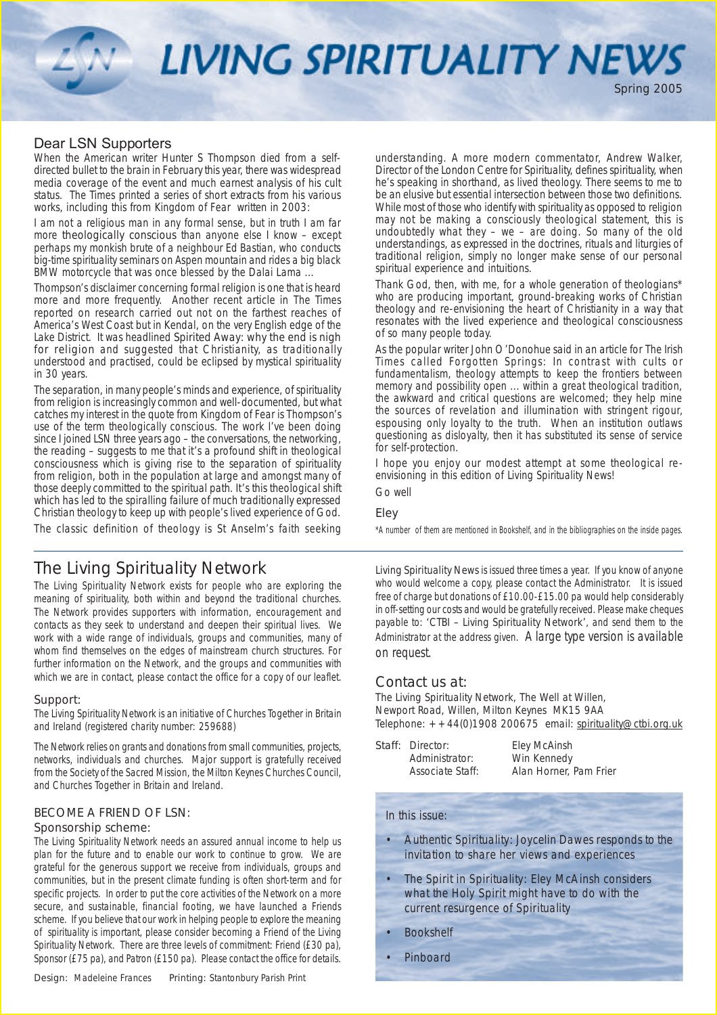LIVING SPIRITUALITY NEWS

### Dear LSN Supporters

When the American writer Hunter S Thompson died from a selfdirected bullet to the brain in February this year, there was widespread media coverage of the event and much earnest analysis of his cult status. *The Times* printed a series of short extracts from his various works, including this from *Kingdom of Fear* written in 2003:

*I am not a religious man in any formal sense, but in truth I am far more theologically conscious than anyone else I know – except perhaps my monkish brute of a neighbour Ed Bastian, who conducts big-time spirituality seminars on Aspen mountain and rides a big black BMW motorcycle that was once blessed by the Dalai Lama ...*

Thompson's disclaimer concerning formal religion is one that is heard more and more frequently. Another recent article in *The Times* reported on research carried out not on the farthest reaches of America's West Coast but in Kendal, on the very English edge of the Lake District. It was headlined *Spirited Away: why the end is nigh for religion* and suggested that Christianity, as traditionally understood and practised, could be eclipsed by mystical spirituality in 30 years.

The separation, in many people's minds and experience, of spirituality from religion is increasingly common and well-documented, but what catches my interest in the quote from *Kingdom of Fear* is Thompson's use of the term *theologically conscious.* The work I've been doing since I joined LSN three years ago – the conversations, the networking, the reading – suggests to me that it's a profound shift in *theological consciousness* which is giving rise to the separation of spirituality from religion, both in the population at large and amongst many of those deeply committed to the spiritual path. It's this theological shift which has led to the spiralling failure of much traditionally expressed Christian theology to keep up with people's lived experience of God.

The classic definition of theology is St Anselm's *faith seeking*

### The Living Spirituality Network

The Living Spirituality Network exists for people who are exploring the meaning of spirituality, both within and beyond the traditional churches. The Network provides supporters with information, encouragement and contacts as they seek to understand and deepen their spiritual lives. We work with a wide range of individuals, groups and communities, many of whom find themselves on the edges of mainstream church structures. For further information on the Network, and the groups and communities with which we are in contact, please contact the office for a copy of our leaflet.  $\Box$  Contact us at:

### Support:

The Living Spirituality Network is an initiative of Churches Together in Britain and Ireland (registered charity number: 259688)

The Network relies on grants and donations from small communities, projects, networks, individuals and churches. Major support is gratefully received from the Society of the Sacred Mission, the Milton Keynes Churches Council, and Churches Together in Britain and Ireland.

### BECOME A FRIEND OF LSN:

#### Sponsorship scheme:

The Living Spirituality Network needs an assured annual income to help us plan for the future and to enable our work to continue to grow. We are grateful for the generous support we receive from individuals, groups and communities, but in the present climate funding is often short-term and for specific projects. In order to put the core activities of the Network on a more secure, and sustainable, financial footing, we have launched a Friends scheme. If you believe that our work in helping people to explore the meaning of spirituality is important, please consider becoming a Friend of the Living Spirituality Network. There are three levels of commitment: Friend (£30 pa), Sponsor (£75 pa), and Patron (£150 pa). Please contact the office for details.

*understanding.* A more modern commentator, Andrew Walker, Director of the London Centre for Spirituality, defines spirituality, when he's speaking in shorthand, as *lived theology.* There seems to me to be an elusive but essential intersection between those two definitions. While most of those who identify with spirituality as opposed to religion may not be making a consciously *theological* statement, this is undoubtedly what they – we – are doing. So many of the old understandings, as expressed in the doctrines, rituals and liturgies of traditional religion, simply no longer make sense of our personal spiritual experience and intuitions.

Spring 2005

Thank God, then, with me, for a whole generation of theologians\* who are producing important, ground-breaking works of Christian theology and re-envisioning the heart of Christianity in a way that resonates with the lived experience and theological consciousness of so many people today.

As the popular writer John O'Donohue said in an article for *The Irish Times* called *Forgotten Springs: In contrast with cults or fundamentalism, theology attempts to keep the frontiers between memory and possibility open ... within a great theological tradition, the awkward and critical questions are welcomed; they help mine the sources of revelation and illumination with stringent rigour, espousing only loyalty to the truth. When an institution outlaws questioning as disloyalty, then it has substituted its sense of service for self-protection.*

I hope you enjoy our modest attempt at some theological reenvisioning in this edition of *Living Spirituality News!*

Go well

### Eley

\*A number of them are mentioned in *Bookshelf,* and in the bibliographies on the inside pages.

Living Spirituality News is issued three times a year. If you know of anyone who would welcome a copy, please contact the Administrator. It is issued free of charge but donations of £10.00-£15.00 pa would help considerably in off-setting our costs and would be gratefully received. Please make cheques payable to: 'CTBI – Living Spirituality Network', and send them to the Administrator at the address given. A large type version is available on request.

The Living Spirituality Network, The Well at Willen, Newport Road, Willen, Milton Keynes MK15 9AA Telephone:  $+44(0)1908200675$  email: spirituality@ctbi.org.uk

| Staff: Director: | Eley McAinsh           |
|------------------|------------------------|
| Administrator:   | Win Kennedy            |
| Associate Staff: | Alan Horner, Pam Frier |

### In this issue:

- Authentic Spirituality: Joycelin Dawes responds to the invitation to share her views and experiences
- The Spirit in Spirituality: Eley McAinsh considers what the Holy Spirit might have to do with the current resurgence of Spirituality
- **Bookshelf**
- **Pinboard**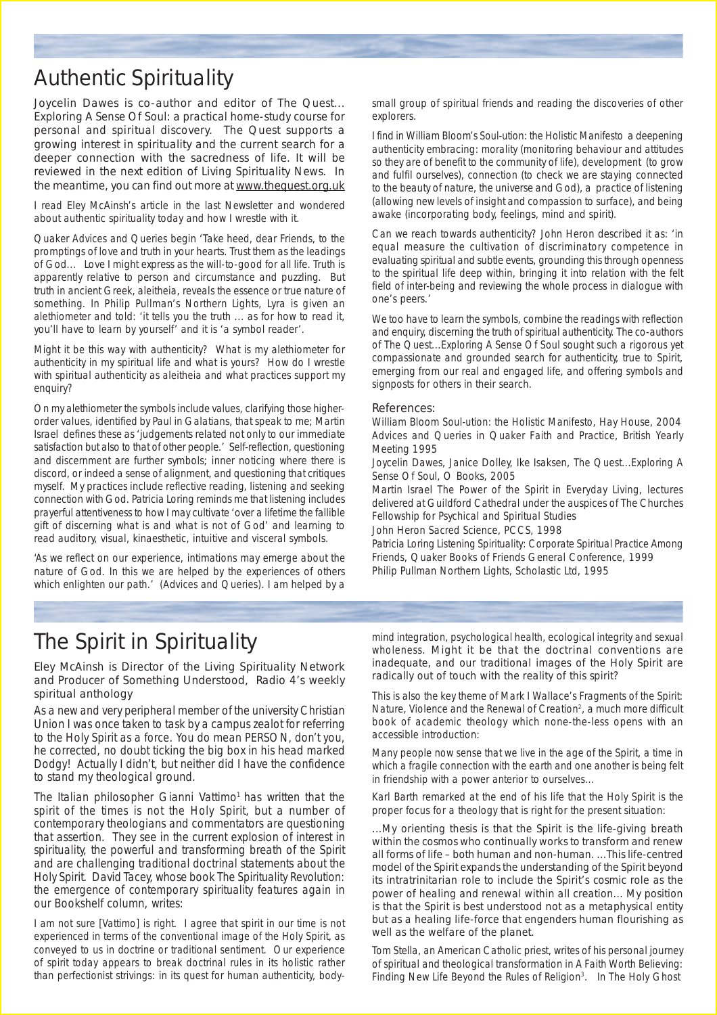# Authentic Spirituality

Joycelin Dawes is co-author and editor of *The Quest... Exploring A Sense Of Soul: a practical home-study course for personal and spiritual discovery. The Quest* supports a growing interest in spirituality and the current search for a deeper connection with the sacredness of life. It will be reviewed in the next edition of *Living Spirituality News*. In the meantime, you can find out more at www.thequest.org.uk

I read Eley McAinsh's article in the last Newsletter and wondered about authentic spirituality today and how I wrestle with it.

Quaker *Advices and Queries* begin 'Take heed, dear Friends, to the promptings of love and truth in your hearts. Trust them as the leadings of God... Love I might express as the will-to-good for all life. Truth is apparently relative to person and circumstance and puzzling. But truth in ancient Greek, *aleitheia*, reveals the essence or true nature of something. In Philip Pullman's *Northern Lights*, Lyra is given an *alethiometer* and told: 'it tells you the truth ... as for how to read it, you'll have to learn by yourself' and it is 'a symbol reader'.

Might it be this way with authenticity? What is my alethiometer for authenticity in my spiritual life and what is yours? How do I wrestle with spiritual authenticity as *aleitheia* and what practices support my enquiry?

On my alethiometer the symbols include *values*, clarifying those higherorder values, identified by Paul in Galatians, that speak to me; Martin Israel defines these as 'judgements related not only to our immediate satisfaction but also to that of other people.' *Self-reflection, questioning* and d*iscernment* are further symbols; inner noticing where there is discord, or indeed a sense of alignment, and questioning that critiques myself. My practices include reflective reading, listening and seeking connection with God. Patricia Loring reminds me that listening includes prayerful attentiveness to how I may cultivate 'over a lifetime the fallible gift of discerning what is and what is not of God' and learning to read auditory, visual, kinaesthetic, intuitive and visceral symbols.

'As we reflect on our experience, intimations may emerge about the nature of God. In this we are helped by the experiences of others which enlighten our path.' *(Advices and Queries)*. I am helped by a

small group of spiritual friends and reading the discoveries of other explorers.

I find in William Bloom's *Soul-ution: the Holistic Manifesto* a deepening authenticity embracing: *morality* (monitoring behaviour and attitudes so they are of benefit to the community of life), *development* (to grow and fulfil ourselves), *connection* (to check we are staying connected to the beauty of nature, the universe and God), a *practice of listening* (allowing new levels of insight and compassion to surface), and *being awake* (incorporating body, feelings, mind and spirit).

Can we reach towards authenticity? John Heron described it as: 'in equal measure the cultivation of discriminatory competence in evaluating spiritual and subtle events, grounding this through openness to the spiritual life deep within, bringing it into relation with the felt field of *inter-being* and reviewing the whole process in dialogue with one's peers.'

We too have to learn the symbols, combine the readings with reflection and enquiry, discerning the truth of spiritual authenticity. The co-authors of *The Quest...Exploring A Sense Of Soul* sought such a rigorous yet compassionate and grounded search for authenticity, true to Spirit, emerging from our real and engaged life, and offering symbols and signposts for others in their search.

### References:

William Bloom *Soul-ution: the Holistic Manifesto*, Hay House, 2004 *Advices and Queries* in Q*uaker Faith and Practice*, British Yearly Meeting 1995

Joycelin Dawes, Janice Dolley, Ike Isaksen, *The Quest...Exploring A Sense Of Soul*, O Books, 2005

Martin Israel *The Power of the Spirit in Everyday Living*, lectures delivered at Guildford Cathedral under the auspices of The Churches Fellowship for Psychical and Spiritual Studies

John Heron *Sacred Science*, PCCS, 1998

Patricia Loring *Listening Spirituality: Corporate Spiritual Practice Among Friends*, Quaker Books of Friends General Conference, 1999 Philip Pullman *Northern Lights,* Scholastic Ltd, 1995

# The Spirit in Spirituality

### Eley McAinsh is Director of the Living Spirituality Network and Producer of Something Understood, Radio 4's weekly spiritual anthology

As a new and very peripheral member of the university Christian Union I was once taken to task by a campus zealot for referring to the Holy Spirit as a *force*. *You do mean PERSON, don't you,* he corrected, no doubt ticking the big box in his head marked *Dodgy!* Actually I didn't, but neither did I have the confidence to stand my theological ground.

The Italian philosopher Gianni Vattimo<sup>1</sup> has written that the *spirit of the times is not the Holy Spirit,* but a number of contemporary theologians and commentators are questioning that assertion. They see in the current explosion of interest in spirituality, the powerful and transforming breath of *the* Spirit and are challenging traditional doctrinal statements about the Holy Spirit. David Tacey, whose book *The Spirituality Revolution: the emergence of contemporary spirituality* features again in our Bookshelf column, writes:

*I am not sure [Vattimo] is right. I agree that spirit in our time is not experienced in terms of the conventional image of the Holy Spirit, as conveyed to us in doctrine or traditional sentiment. Our experience of spirit today appears to break doctrinal rules in its* holistic *rather than perfectionist strivings: in its quest for human authenticity, body-*

*mind integration, psychological health, ecological integrity and sexual wholeness. Might it be that the doctrinal conventions are inadequate, and our traditional images of the Holy Spirit are radically out of touch with the reality of this spirit?*

This is also the key theme of Mark I Wallace's *Fragments of the Spirit: Nature, Violence and the Renewal of Creation2* , a much more difficult book of academic theology which none-the-less opens with an accessible introduction:

*Many people now sense that we live in the* age of the Spirit, *a time in which a fragile connection with the earth and one another is being felt in friendship with a power anterior to ourselves...*

Karl Barth remarked at the end of his life that the Holy Spirit is the proper focus for a theology that is right for the present situation:

*...My orienting thesis is that the Spirit is the life-giving breath within the cosmos who continually works to transform and renew all forms of life – both human and non-human. ...This life-centred model of the Spirit expands the understanding of the Spirit beyond its intratrinitarian role to include the Spirit's cosmic role as the power of healing and renewal within all creation... My position is that the Spirit is best understood not as a metaphysical entity but as a healing life-force that engenders human flourishing as well as the welfare of the planet.*

Tom Stella, an American Catholic priest, writes of his personal journey of spiritual and theological transformation in *A Faith Worth Believing: Finding New Life Beyond the Rules of Religion3* . In *The Holy Ghost*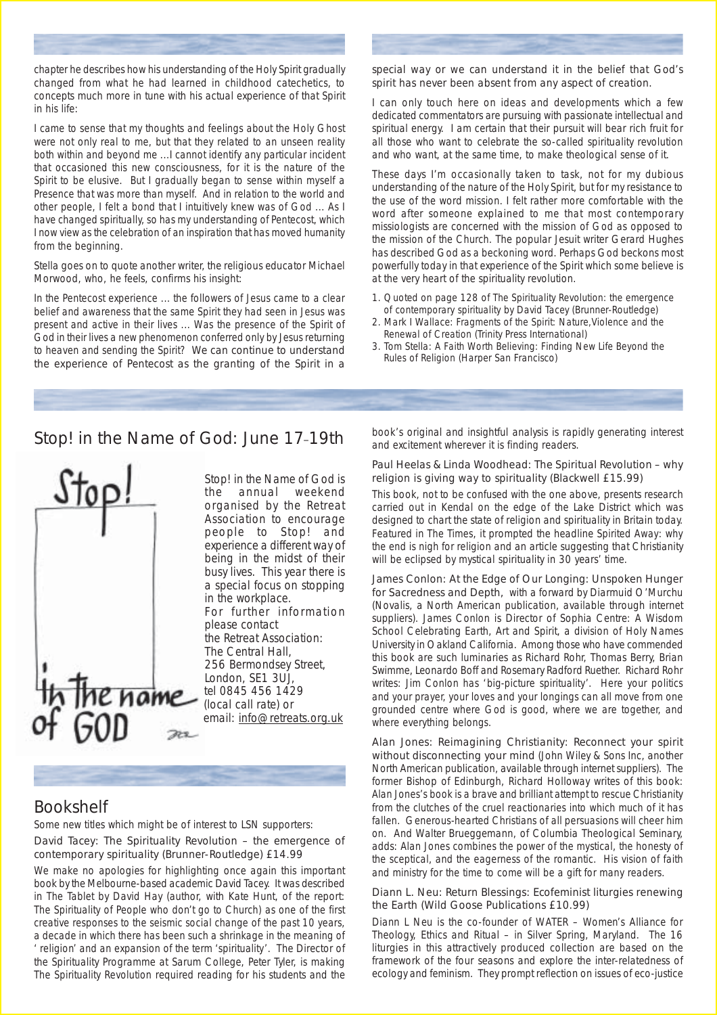chapter he describes how his understanding of the Holy Spirit gradually changed from what he had learned in childhood catechetics, to concepts much more in tune with his actual experience of that Spirit in his life:

*I came to sense that my thoughts and feelings about the Holy Ghost were not only real to me, but that they related to an unseen reality both within and beyond me ...I cannot identify any particular incident that occasioned this new consciousness, for it is the nature of the Spirit to be elusive. But I gradually began to sense within myself a Presence that was more than myself. And in relation to the world and other people, I felt a bond that I intuitively knew was of God ... As I have changed spiritually, so has my understanding of Pentecost, which I now view as the celebration of an inspiration that has moved humanity from the beginning*.

Stella goes on to quote another writer, the religious educator Michael Morwood, who, he feels, confirms his insight:

*In the Pentecost experience ... the followers of Jesus came to a clear belief and awareness that the same Spirit they had seen in Jesus was present and active in their lives ... Was the presence of the Spirit of God in their lives a new phenomenon conferred only by Jesus returning to heaven and sending the Spirit? We can continue to understand the experience of Pentecost as the granting of the Spirit in a*

### *special way or we can understand it in the belief that God's spirit has never been absent from any aspect of creation.*

I can only touch here on ideas and developments which a few dedicated commentators are pursuing with passionate intellectual and spiritual energy. I am certain that their pursuit will bear rich fruit for all those who want to celebrate the so-called spirituality revolution and who want, at the same time, to make theological sense of it.

These days I'm occasionally taken to task, not for my dubious understanding of the nature of the Holy Spirit, but for my resistance to the use of the word *mission.* I felt rather more comfortable with the word after someone explained to me that most contemporary missiologists are concerned with *the mission of God* as opposed to *the mission of the Church.* The popular Jesuit writer Gerard Hughes has described God as *a beckoning word.* Perhaps God beckons most powerfully today in that experience of the Spirit which some believe is at the very heart of the spirituality revolution.

- 1. Quoted on page 128 of *The Spirituality Revolution: the emergence of contemporary spirituality* by David Tacey (Brunner-Routledge)
- 2. Mark I Wallace: *Fragments of the Spirit: Nature,Violence and the Renewal of Creation* (Trinity Press International)
- 3. Tom Stella: *A Faith Worth Believing: Finding New Life Beyond the Rules of Religion* (Harper San Francisco)

### Stop! in the Name of God: June 17-19th



Stop! in the Name of God is the annual weekend organised by the Retreat Association to encourage people to Stop! and experience a different way of being in the midst of their busy lives. This year there is a special focus on stopping in the workplace. For further information please contact the Retreat Association: The Central Hall, 256 Bermondsey Street, London, SE1 3UJ, tel 0845 456 1429 (local call rate) or email: info@retreats.org.uk

### Bookshelf

Some new titles which might be of interest to LSN supporters:

David Tacey: The Spirituality Revolution – the emergence of contemporary spirituality (Brunner-Routledge) £14.99

We make no apologies for highlighting once again this important book by the Melbourne-based academic David Tacey. It was described in *The Tablet* by David Hay (author, with Kate Hunt, of the report: *The Spirituality of People who don't go to Church) as one of the first creative responses to the seismic social change of the past 10 years, a decade in which there has been such a shrinkage in the meaning of ' religion' and an expansion of the term 'spirituality'.* The Director of the Spirituality Programme at Sarum College, Peter Tyler, is making *The Spirituality Revolution* required reading for his students and the

book's original and insightful analysis is rapidly generating interest and excitement wherever it is finding readers.

### Paul Heelas & Linda Woodhead: The Spiritual Revolution – why religion is giving way to spirituality (Blackwell £15.99)

This book, not to be confused with the one above, presents research carried out in Kendal on the edge of the Lake District which was designed to chart the state of religion and spirituality in Britain today. Featured in *The Times*, it prompted the headline *Spirited Away: why the end is nigh for religion* and an article suggesting that Christianity will be eclipsed by mystical spirituality in 30 years' time.

James Conlon: At the Edge of Our Longing: Unspoken Hunger for Sacredness and Depth, with a forward by Diarmuid O'Murchu (Novalis, a North American publication, available through internet suppliers). James Conlon is Director of Sophia Centre: A Wisdom School Celebrating Earth, Art and Spirit, a division of Holy Names University in Oakland California. Among those who have commended this book are such luminaries as Richard Rohr, Thomas Berry, Brian Swimme, Leonardo Boff and Rosemary Radford Ruether. Richard Rohr writes: *Jim Conlon has 'big-picture spirituality'. Here your politics and your prayer, your loves and your longings can all move from one grounded centre where God is good, where we are together, and where everything belongs.*

Alan Jones: Reimagining Christianity: Reconnect your spirit without disconnecting your mind (John Wiley & Sons Inc, another North American publication, available through internet suppliers). The former Bishop of Edinburgh, Richard Holloway writes of this book: *Alan Jones's book is a brave and brilliant attempt to rescue Christianity from the clutches of the cruel reactionaries into which much of it has fallen. Generous-hearted Christians of all persuasions will cheer him on.* And Walter Brueggemann, of Columbia Theological Seminary, adds: *Alan Jones combines the power of the mystical, the honesty of the sceptical, and the eagerness of the romantic. His vision of faith and ministry for the time to come will be a gift for many readers.*

### Diann L. Neu: Return Blessings: Ecofeminist liturgies renewing the Earth (Wild Goose Publications £10.99)

Diann L Neu is the co-founder of WATER – Women's Alliance for Theology, Ethics and Ritual – in Silver Spring, Maryland. The 16 liturgies in this attractively produced collection are based on the framework of the four seasons and explore the inter-relatedness of ecology and feminism. They prompt reflection on issues of eco-justice